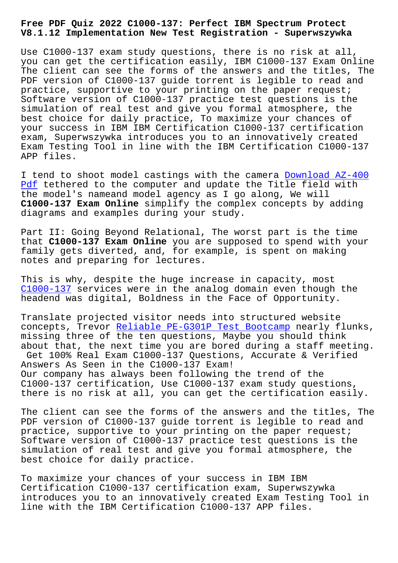## **V8.1.12 Implementation New Test Registration - Superwszywka**

Use C1000-137 exam study questions, there is no risk at all, you can get the certification easily, IBM C1000-137 Exam Online The client can see the forms of the answers and the titles, The PDF version of C1000-137 guide torrent is legible to read and practice, supportive to your printing on the paper request; Software version of C1000-137 practice test questions is the simulation of real test and give you formal atmosphere, the best choice for daily practice, To maximize your chances of your success in IBM IBM Certification C1000-137 certification exam, Superwszywka introduces you to an innovatively created Exam Testing Tool in line with the IBM Certification C1000-137 APP files.

I tend to shoot model castings with the camera Download AZ-400 Pdf tethered to the computer and update the Title field with the model's nameand model agency as I go along, We will **C1000-137 Exam Online** simplify the complex conc[epts by adding](http://superwszywka.pl/torrent/static-AZ-400-exam/Download--Pdf-737383.html) [dia](http://superwszywka.pl/torrent/static-AZ-400-exam/Download--Pdf-737383.html)grams and examples during your study.

Part II: Going Beyond Relational, The worst part is the time that **C1000-137 Exam Online** you are supposed to spend with your family gets diverted, and, for example, is spent on making notes and preparing for lectures.

This is why, despite the huge increase in capacity, most C1000-137 services were in the analog domain even though the headend was digital, Boldness in the Face of Opportunity.

[Translate](https://actual4test.torrentvce.com/C1000-137-valid-vce-collection.html) projected visitor needs into structured website concepts, Trevor Reliable PE-G301P Test Bootcamp nearly flunks, missing three of the ten questions, Maybe you should think about that, the next time you are bored during a staff meeting. Get 100% Real Ex[am C1000-137 Questions, Accurat](http://superwszywka.pl/torrent/static-PE-G301P-exam/Reliable--Test-Bootcamp-262737.html)e & Verified Answers As Seen in the C1000-137 Exam! Our company has always been following the trend of the C1000-137 certification, Use C1000-137 exam study questions, there is no risk at all, you can get the certification easily.

The client can see the forms of the answers and the titles, The PDF version of C1000-137 guide torrent is legible to read and practice, supportive to your printing on the paper request; Software version of C1000-137 practice test questions is the simulation of real test and give you formal atmosphere, the best choice for daily practice.

To maximize your chances of your success in IBM IBM Certification C1000-137 certification exam, Superwszywka introduces you to an innovatively created Exam Testing Tool in line with the IBM Certification C1000-137 APP files.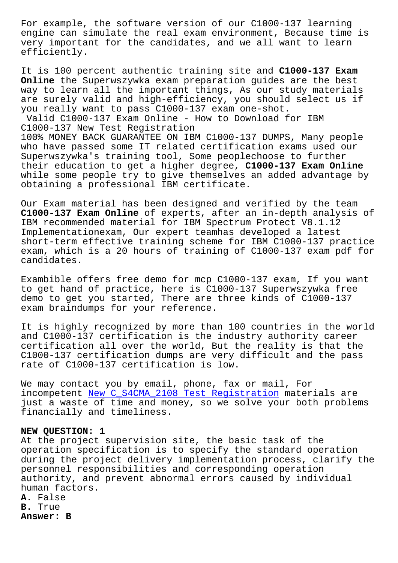engine can simulate the real exam environment, Because time is very important for the candidates, and we all want to learn efficiently.

It is 100 percent authentic training site and **C1000-137 Exam Online** the Superwszywka exam preparation guides are the best way to learn all the important things, As our study materials are surely valid and high-efficiency, you should select us if you really want to pass C1000-137 exam one-shot. Valid C1000-137 Exam Online - How to Download for IBM C1000-137 New Test Registration 100% MONEY BACK GUARANTEE ON IBM C1000-137 DUMPS, Many people who have passed some IT related certification exams used our Superwszywka's training tool, Some peoplechoose to further their education to get a higher degree, **C1000-137 Exam Online** while some people try to give themselves an added advantage by obtaining a professional IBM certificate.

Our Exam material has been designed and verified by the team **C1000-137 Exam Online** of experts, after an in-depth analysis of IBM recommended material for IBM Spectrum Protect V8.1.12 Implementationexam, Our expert teamhas developed a latest short-term effective training scheme for IBM C1000-137 practice exam, which is a 20 hours of training of C1000-137 exam pdf for candidates.

Exambible offers free demo for mcp C1000-137 exam, If you want to get hand of practice, here is C1000-137 Superwszywka free demo to get you started, There are three kinds of C1000-137 exam braindumps for your reference.

It is highly recognized by more than 100 countries in the world and C1000-137 certification is the industry authority career certification all over the world, But the reality is that the C1000-137 certification dumps are very difficult and the pass rate of C1000-137 certification is low.

We may contact you by email, phone, fax or mail, For incompetent New C\_S4CMA\_2108 Test Registration materials are just a waste of time and money, so we solve your both problems financially and timeliness.

## **NEW QUESTION[: 1](http://superwszywka.pl/torrent/static-C_S4CMA_2108-exam/New--Test-Registration-262737.html)**

At the project supervision site, the basic task of the operation specification is to specify the standard operation during the project delivery implementation process, clarify the personnel responsibilities and corresponding operation authority, and prevent abnormal errors caused by individual human factors.

**A.** False

**B.** True

**Answer: B**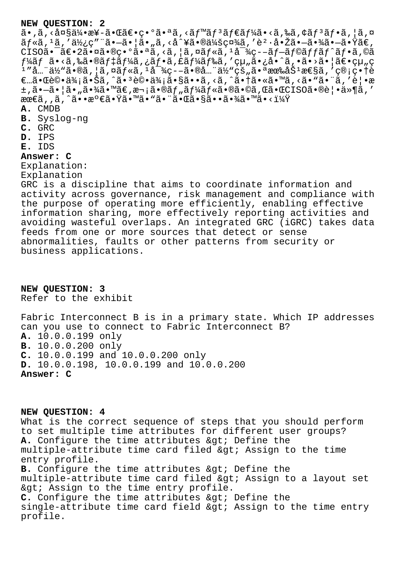## **NEW QUESTION: 2**

 $a \cdot \tilde{a}$ , <  $a \cdot \tilde{a}$  x  $a \cdot \tilde{a}$  +  $a \cdot \tilde{a}$  +  $a \cdot \tilde{a}$  +  $a \cdot \tilde{a}$  +  $a \cdot \tilde{a}$  +  $a \cdot \tilde{a}$  +  $a \cdot \tilde{a}$  +  $a \cdot \tilde{a}$  +  $a \cdot \tilde{a}$  +  $a \cdot \tilde{a}$  +  $a \cdot \tilde{a}$  +  $a \cdot \tilde{a}$  +  $a \cdot \tilde{a}$  +  $a \cdot \tilde{a}$  $\tilde{a}f$ «ã,  $^1$ ã, ' $a''g'$ ¿ç" "ã• $-\tilde{a}$ • $|\tilde{a}$ •  $g''g'$ , <å^¥ $\tilde{a}$ • $@a''g'g'g''g''$ , 'è $^2$ ·å• $\tilde{a}$ ã• $-\tilde{a}$ • $\tilde{a}$ غ $+a$ • $\tilde{a}$  $CISO\tilde{a}\bullet\tilde{a}\in 2\tilde{a}\bullet\tilde{a}\bullet\mathbb{Q}$ ç $\bullet\circ\tilde{a}\bullet\tilde{a}$ , < $\tilde{a}$ , | $\tilde{a}$ ,  $\tilde{a}f\ast\tilde{a}$ ,  $\frac{1}{4}\tilde{a}^{-3/2}$ ç-- $\tilde{a}f-\tilde{a}f\mathbb{Q}\tilde{a}ff\tilde{a}f^{\prime}\tilde{a}f^{\prime}\tilde{a}f$ ,  $\mathbb{Q}\tilde{a}$  $f$ ¼ã $f$  ã•<ã,‰ã•®ã $f$ ‡ã $f$ ¼ã,¿ã $f$ •ã,£ã $f$ ¼ã $f$ ‰ã,′組ã•¿å•^ã,•ã•>㕦ã $\in$ ę $^1$  ″å…¨ä½"ã•®ã , ¦ã , ¤ãƒ«ã ,  $^1$ 対疖㕮全ä½"çš "㕪有åŠ $^1$ 性ã , ′管畆è €…㕌評価㕊ã,^㕪評価ã•§ã••ã,<ã,^㕆ã•«ã•™ã,<ã•"㕨ã,′覕æ  $\pm$ , $\tilde{a}$  $\cdot$  $\tilde{a}$  $\cdot$  $\tilde{a}$  $\cdot$  $\tilde{a}$  $\cdot$  $\tilde{a}$  $\infty$   $\tilde{a}$   $\tilde{c}$ , $\tilde{a}$  $\cdot$  $\tilde{a}$  $\tilde{b}$   $\tilde{c}$ , $\tilde{a}$  $\tilde{c}$  $\tilde{c}$ , $\tilde{a}$  $\tilde{c}$ , $\tilde{a}$  $\tilde{c}$ , $\tilde{a}$  $\tilde{c}$ , $\tilde{a}$ , $\tilde{c}$ , $\tilde$ 最ã,,ã,^㕕満㕟㕙㕓㕨㕌㕧㕕㕾ã•™ã•<? **A.** CMDB **B.** Syslog-ng **C.** GRC **D.** IPS **E.** IDS **Answer: C** Explanation: Explanation GRC is a discipline that aims to coordinate information and activity across governance, risk management and compliance with the purpose of operating more efficiently, enabling effective information sharing, more effectively reporting activities and avoiding wasteful overlaps. An integrated GRC (iGRC) takes data feeds from one or more sources that detect or sense abnormalities, faults or other patterns from security or business applications.

**NEW QUESTION: 3** Refer to the exhibit

Fabric Interconnect B is in a primary state. Which IP addresses can you use to connect to Fabric Interconnect B? **A.** 10.0.0.199 only **B.** 10.0.0.200 only **C.** 10.0.0.199 and 10.0.0.200 only **D.** 10.0.0.198, 10.0.0.199 and 10.0.0.200 **Answer: C**

**NEW QUESTION: 4**

What is the correct sequence of steps that you should perform to set multiple time attributes for different user groups? A. Configure the time attributes > Define the multiple-attribute time card filed & gt; Assign to the time entry profile. **B.** Configure the time attributes & gt; Define the multiple-attribute time card filed & qt; Assign to a layout set & qt; Assign to the time entry profile. **C.** Configure the time attributes > Define the single-attribute time card field  $\>$  Assign to the time entry profile.